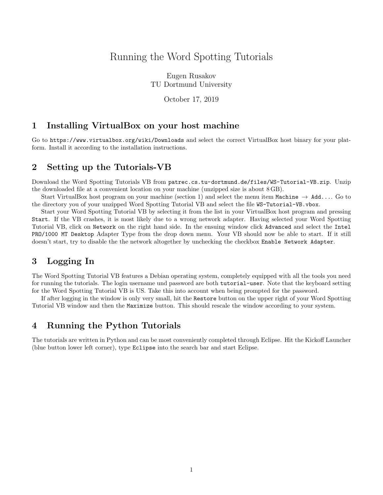# Running the Word Spotting Tutorials

Eugen Rusakov TU Dortmund University

October 17, 2019

#### 1 Installing VirtualBox on your host machine

Go to https://www.virtualbox.org/wiki/Downloads and select the correct VirtualBox host binary for your platform. Install it according to the installation instructions.

#### 2 Setting up the Tutorials-VB

Download the Word Spotting Tutorials VB from patrec.cs.tu-dortmund.de/files/WS-Tutorial-VB.zip. Unzip the downloaded file at a convenient location on your machine (unzipped size is about 8 GB).

Start VirtualBox host program on your machine (section 1) and select the menu item Machine  $\rightarrow$  Add.... Go to the directory you of your unzipped Word Spotting Tutorial VB and select the file WS-Tutorial-VB.vbox.

Start your Word Spotting Tutorial VB by selecting it from the list in your VirtualBox host program and pressing Start. If the VB crashes, it is most likely due to a wrong network adapter. Having selected your Word Spotting Tutorial VB, click on Network on the right hand side. In the ensuing window click Advanced and select the Intel PRO/1000 MT Desktop Adapter Type from the drop down menu. Your VB should now be able to start. If it still doesn't start, try to disable the the network altogether by unchecking the checkbox Enable Network Adapter.

## 3 Logging In

The Word Spotting Tutorial VB features a Debian operating system, completely equipped with all the tools you need for running the tutorials. The login username und password are both tutorial-user. Note that the keyboard setting for the Word Spotting Tutorial VB is US. Take this into account when being prompted for the password.

If after logging in the window is only very small, hit the Restore button on the upper right of your Word Spotting Tutorial VB window and then the Maximize button. This should rescale the window according to your system.

### 4 Running the Python Tutorials

The tutorials are written in Python and can be most conveniently completed through Eclipse. Hit the Kickoff Launcher (blue button lower left corner), type Eclipse into the search bar and start Eclipse.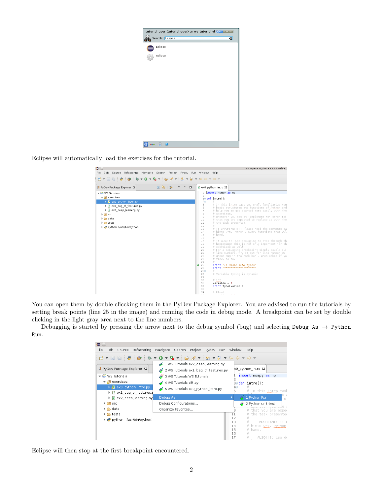| tutorial-user (tutorial-user) on ws-tutorial-vl Skoslosstor |   |
|-------------------------------------------------------------|---|
| Search: Eclipse                                             | G |
| Eclipse                                                     |   |
| eclipse                                                     |   |
|                                                             |   |
|                                                             |   |
|                                                             |   |
|                                                             |   |
|                                                             |   |
|                                                             |   |
|                                                             |   |
| 白<br>A.                                                     |   |

Eclipse will automatically load the exercises for the tutorial.

| $\bullet$ $\circ$                                                          | workspace - PyDev - WS Tutorials/exe                                                                     |  |  |  |  |
|----------------------------------------------------------------------------|----------------------------------------------------------------------------------------------------------|--|--|--|--|
| File Edit Source Refactoring Navigate Search Project Pydev Run Window Help |                                                                                                          |  |  |  |  |
|                                                                            |                                                                                                          |  |  |  |  |
| 日生<br>净<br>PyDev Package Explorer &<br>▽                                   | $\qquad \qquad \blacksquare$<br>$\Box$<br>P ex0 python intro &                                           |  |  |  |  |
| $\blacktriangleright$ $\mathbb{Z}$ WS Tutorials                            | import numpy as np                                                                                       |  |  |  |  |
| $\blacktriangledown$ $\frac{4}{3}$ exercises                               | $\overline{2}$                                                                                           |  |  |  |  |
| ▶ a ex0 python intro.py                                                    | $\Rightarrow$ def intro():<br>$4\Theta$                                                                  |  |  |  |  |
| I P ex1 bag of features.py                                                 | 5<br># In this intro task you shall familiarize you:                                                     |  |  |  |  |
|                                                                            | # basic structures and functions of Python and<br>6                                                      |  |  |  |  |
| I P ex2 deep learning.py                                                   | 7<br># help you to get started more easily with the                                                      |  |  |  |  |
| $\triangleright$ $\blacksquare$ src                                        | 8<br># exercises.<br>$\circ$<br># Whenever you see an "Implement Me" error rai:                          |  |  |  |  |
| $\triangleright$ $\triangleright$ data                                     | # that you are expected to replace it with the<br>10                                                     |  |  |  |  |
| $\triangleright$ $\triangleright$ tests                                    | 11<br># the task presented.                                                                              |  |  |  |  |
| python (/usr/bin/python)                                                   | 12<br>#                                                                                                  |  |  |  |  |
|                                                                            | 13<br># !!!IMPORTANT!!!: Please read the comments car                                                    |  |  |  |  |
|                                                                            | 14<br># hints wrt. Python / NumPy functions that wil<br>15<br># hand.                                    |  |  |  |  |
|                                                                            | 16                                                                                                       |  |  |  |  |
|                                                                            | 17<br># !!!ALSO!!!: Use debugging to step through the                                                    |  |  |  |  |
|                                                                            | # happening! This is not only important for th:<br>18                                                    |  |  |  |  |
|                                                                            | # exercises as well!<br>19<br>20                                                                         |  |  |  |  |
|                                                                            | # For a debugging breakpoint simply double clid<br>21<br># line numbers. Try it out for line number 92 a |  |  |  |  |
|                                                                            | 22<br># green bug in the task bar). When asked if you                                                    |  |  |  |  |
|                                                                            | 23<br># view, do so.                                                                                     |  |  |  |  |
|                                                                            | 24                                                                                                       |  |  |  |  |
|                                                                            | 25<br>print '1) Basic data types'<br>print (accomposed consequences)<br>26                               |  |  |  |  |
|                                                                            | $27\Theta$                                                                                               |  |  |  |  |
|                                                                            | 28<br># Variable typing is dynamic                                                                       |  |  |  |  |
|                                                                            | 29                                                                                                       |  |  |  |  |
|                                                                            | 30<br># Int                                                                                              |  |  |  |  |
|                                                                            | 31<br>$variable = 1$<br>32<br>print type(variable)                                                       |  |  |  |  |
|                                                                            | 33                                                                                                       |  |  |  |  |
|                                                                            | 34<br># Float                                                                                            |  |  |  |  |

You can open them by double cliccking them in the PyDev Package Explorer. You are advised to run the tutorials by setting break points (line 25 in the image) and running the code in debug mode. A breakpoint can be set by double clicking in the light gray area next to the line numbers.

Debugging is started by pressing the arrow next to the debug symbol (bug) and selecting Debug As  $\rightarrow$  Python Run.

| $\bullet$ $\circ$                                                          |                                                                                                                                              |
|----------------------------------------------------------------------------|----------------------------------------------------------------------------------------------------------------------------------------------|
| Refactoring<br>File Edit<br>Source                                         | Navigate Search Project Pydev Run Window<br>Help                                                                                             |
|                                                                            |                                                                                                                                              |
| ■ PyDev Package Explorer 23                                                | 2 1 WS Tutorials ex2_deep_learning.py<br>x0 python intro 23<br>2 WS Tutorials ex1_bag_of_features.py                                         |
| $\blacktriangleright$ $\mathbb{C}^5$ WS Tutorials                          | import numpy as np<br>3 WS Tutorials WS Tutorials                                                                                            |
| $\blacktriangledown$ $\bigoplus$ exercises                                 | 4 WS Tutorials sift py<br>Αï<br>B⊜ def intro():                                                                                              |
| $\triangleright$ $\vec{p}$ ex0 python intro.py<br>▶ D ex1 bag of features. | 5 WS Tutorials ex0 python intro.py<br># In this intro task                                                                                   |
| ▶ P ex2 deep learning.py                                                   | <u><sup>2</sup> 1</u> Python Run<br>Debug As<br>st                                                                                           |
| $\triangleright$ $\Box$ Src                                                | Debug Configurations<br>2 Python unit-test                                                                                                   |
| ▶ e data                                                                   | a sla<br>Organize Favorites<br># that you are expec                                                                                          |
| $\triangleright$ $\triangleright$ tests<br>python (/usr/bin/python)        | # the task presented<br>11<br>12<br>13<br>!!!IMPORTANT!!!: F<br># hints wrt. Python<br>14<br># hand.<br>15<br>16<br>!!!ALSO!!!: Use de<br>17 |

Eclipse will then stop at the first breakpoint encountered.